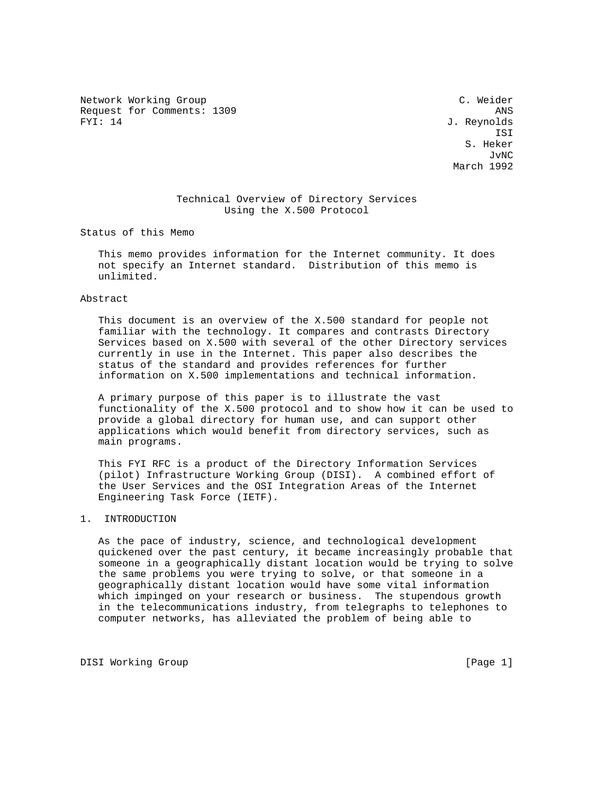Network Working Group C. Weider Request for Comments: 1309 ANS FYI: 14 J. Reynolds

 ISI S. Heker JvNC March 1992

# Technical Overview of Directory Services Using the X.500 Protocol

Status of this Memo

 This memo provides information for the Internet community. It does not specify an Internet standard. Distribution of this memo is unlimited.

Abstract

 This document is an overview of the X.500 standard for people not familiar with the technology. It compares and contrasts Directory Services based on X.500 with several of the other Directory services currently in use in the Internet. This paper also describes the status of the standard and provides references for further information on X.500 implementations and technical information.

 A primary purpose of this paper is to illustrate the vast functionality of the X.500 protocol and to show how it can be used to provide a global directory for human use, and can support other applications which would benefit from directory services, such as main programs.

 This FYI RFC is a product of the Directory Information Services (pilot) Infrastructure Working Group (DISI). A combined effort of the User Services and the OSI Integration Areas of the Internet Engineering Task Force (IETF).

1. INTRODUCTION

 As the pace of industry, science, and technological development quickened over the past century, it became increasingly probable that someone in a geographically distant location would be trying to solve the same problems you were trying to solve, or that someone in a geographically distant location would have some vital information which impinged on your research or business. The stupendous growth in the telecommunications industry, from telegraphs to telephones to computer networks, has alleviated the problem of being able to

DISI Working Group [Page 1]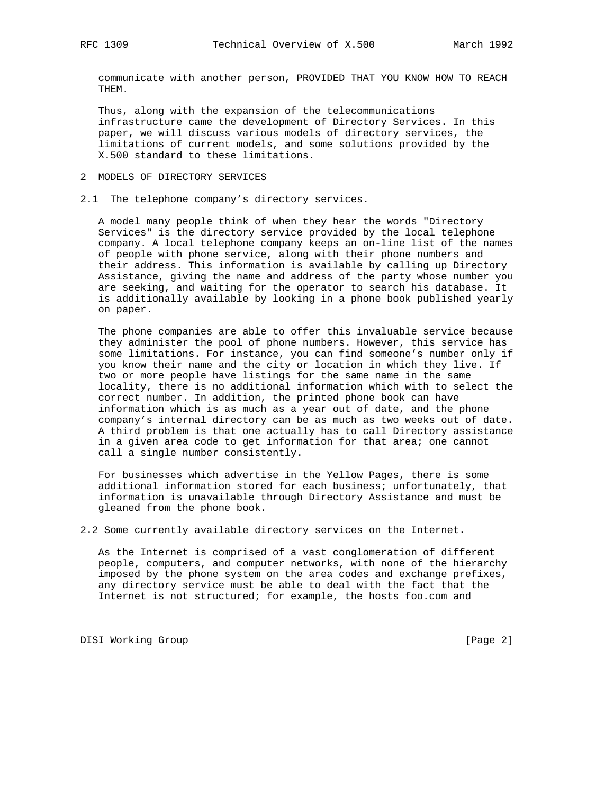communicate with another person, PROVIDED THAT YOU KNOW HOW TO REACH THEM.

 Thus, along with the expansion of the telecommunications infrastructure came the development of Directory Services. In this paper, we will discuss various models of directory services, the limitations of current models, and some solutions provided by the X.500 standard to these limitations.

- 2 MODELS OF DIRECTORY SERVICES
- 2.1 The telephone company's directory services.

 A model many people think of when they hear the words "Directory Services" is the directory service provided by the local telephone company. A local telephone company keeps an on-line list of the names of people with phone service, along with their phone numbers and their address. This information is available by calling up Directory Assistance, giving the name and address of the party whose number you are seeking, and waiting for the operator to search his database. It is additionally available by looking in a phone book published yearly on paper.

 The phone companies are able to offer this invaluable service because they administer the pool of phone numbers. However, this service has some limitations. For instance, you can find someone's number only if you know their name and the city or location in which they live. If two or more people have listings for the same name in the same locality, there is no additional information which with to select the correct number. In addition, the printed phone book can have information which is as much as a year out of date, and the phone company's internal directory can be as much as two weeks out of date. A third problem is that one actually has to call Directory assistance in a given area code to get information for that area; one cannot call a single number consistently.

 For businesses which advertise in the Yellow Pages, there is some additional information stored for each business; unfortunately, that information is unavailable through Directory Assistance and must be gleaned from the phone book.

2.2 Some currently available directory services on the Internet.

 As the Internet is comprised of a vast conglomeration of different people, computers, and computer networks, with none of the hierarchy imposed by the phone system on the area codes and exchange prefixes, any directory service must be able to deal with the fact that the Internet is not structured; for example, the hosts foo.com and

DISI Working Group **blue compared to the Compact Compared Compared Compared Compared Compared Compared Compared Compared Compared Compared Compared Compared Compared Compared Compared Compared Compared Compared Compared Co**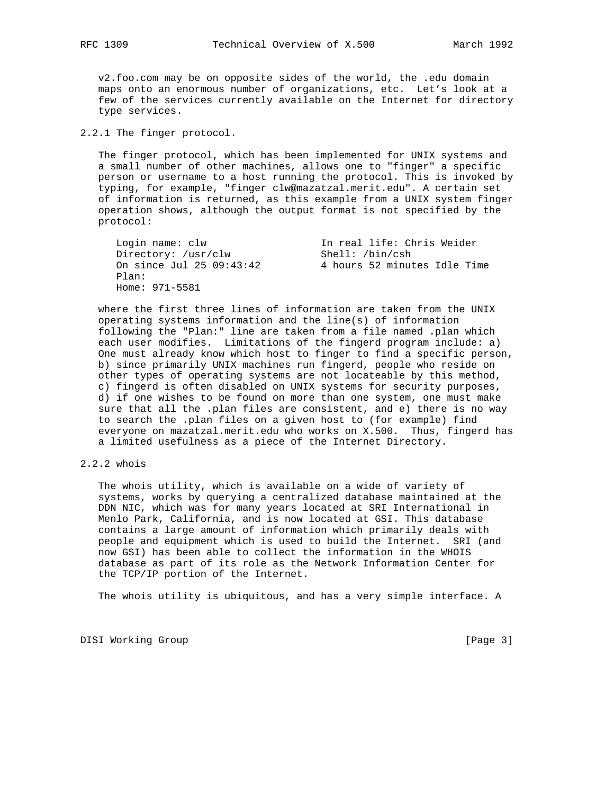v2.foo.com may be on opposite sides of the world, the .edu domain maps onto an enormous number of organizations, etc. Let's look at a few of the services currently available on the Internet for directory type services.

2.2.1 The finger protocol.

 The finger protocol, which has been implemented for UNIX systems and a small number of other machines, allows one to "finger" a specific person or username to a host running the protocol. This is invoked by typing, for example, "finger clw@mazatzal.merit.edu". A certain set of information is returned, as this example from a UNIX system finger operation shows, although the output format is not specified by the protocol:

| Login name: clw          | In real life: Chris Weider   |  |  |  |  |
|--------------------------|------------------------------|--|--|--|--|
| Directory: /usr/clw      | Shell: /bin/csh              |  |  |  |  |
| On since Jul 25 09:43:42 | 4 hours 52 minutes Idle Time |  |  |  |  |
| Plan:                    |                              |  |  |  |  |
| Home: 971-5581           |                              |  |  |  |  |

 where the first three lines of information are taken from the UNIX operating systems information and the line(s) of information following the "Plan:" line are taken from a file named .plan which each user modifies. Limitations of the fingerd program include: a) One must already know which host to finger to find a specific person, b) since primarily UNIX machines run fingerd, people who reside on other types of operating systems are not locateable by this method, c) fingerd is often disabled on UNIX systems for security purposes, d) if one wishes to be found on more than one system, one must make sure that all the .plan files are consistent, and e) there is no way to search the .plan files on a given host to (for example) find everyone on mazatzal.merit.edu who works on X.500. Thus, fingerd has a limited usefulness as a piece of the Internet Directory.

## 2.2.2 whois

 The whois utility, which is available on a wide of variety of systems, works by querying a centralized database maintained at the DDN NIC, which was for many years located at SRI International in Menlo Park, California, and is now located at GSI. This database contains a large amount of information which primarily deals with people and equipment which is used to build the Internet. SRI (and now GSI) has been able to collect the information in the WHOIS database as part of its role as the Network Information Center for the TCP/IP portion of the Internet.

The whois utility is ubiquitous, and has a very simple interface. A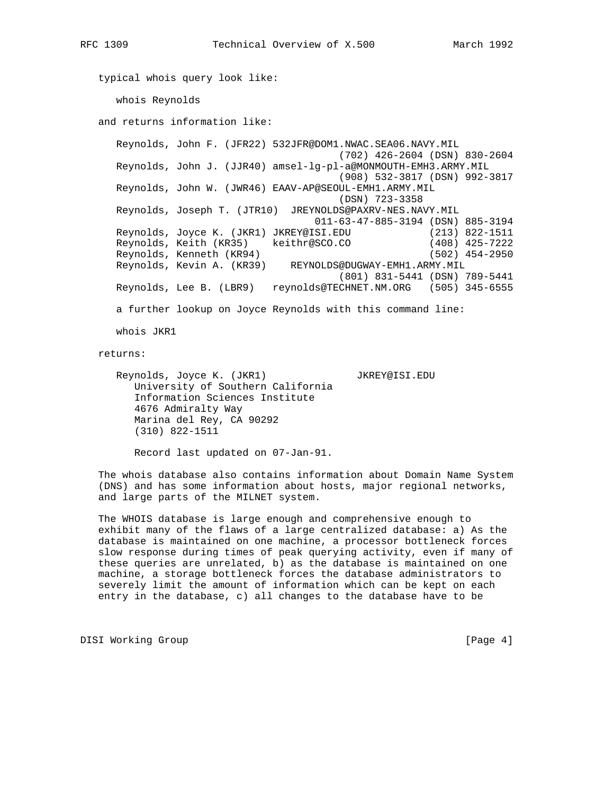typical whois query look like: whois Reynolds and returns information like: Reynolds, John F. (JFR22) 532JFR@DOM1.NWAC.SEA06.NAVY.MIL (702) 426-2604 (DSN) 830-2604 Reynolds, John J. (JJR40) amsel-lg-pl-a@MONMOUTH-EMH3.ARMY.MIL (908) 532-3817 (DSN) 992-3817 Reynolds, John W. (JWR46) EAAV-AP@SEOUL-EMH1.ARMY.MIL (DSN) 723-3358 Reynolds, Joseph T. (JTR10) JREYNOLDS@PAXRV-NES.NAVY.MIL 011-63-47-885-3194 (DSN) 885-3194 Reynolds, Joyce K. (JKR1) JKREY@ISI.EDU (213) 822-1511 Reynolds, Keith (KR35) keithr@SCO.CO (408) 425-7222 Reynolds, Kenneth (KR94) (502) 454-2950 Reynolds, Kevin A. (KR39) REYNOLDS@DUGWAY-EMH1.ARMY.MIL (801) 831-5441 (DSN) 789-5441 Reynolds, Lee B. (LBR9) reynolds@TECHNET.NM.ORG (505) 345-6555 a further lookup on Joyce Reynolds with this command line: whois JKR1 returns:

 Reynolds, Joyce K. (JKR1) JKREY@ISI.EDU University of Southern California Information Sciences Institute 4676 Admiralty Way Marina del Rey, CA 90292 (310) 822-1511

Record last updated on 07-Jan-91.

 The whois database also contains information about Domain Name System (DNS) and has some information about hosts, major regional networks, and large parts of the MILNET system.

 The WHOIS database is large enough and comprehensive enough to exhibit many of the flaws of a large centralized database: a) As the database is maintained on one machine, a processor bottleneck forces slow response during times of peak querying activity, even if many of these queries are unrelated, b) as the database is maintained on one machine, a storage bottleneck forces the database administrators to severely limit the amount of information which can be kept on each entry in the database, c) all changes to the database have to be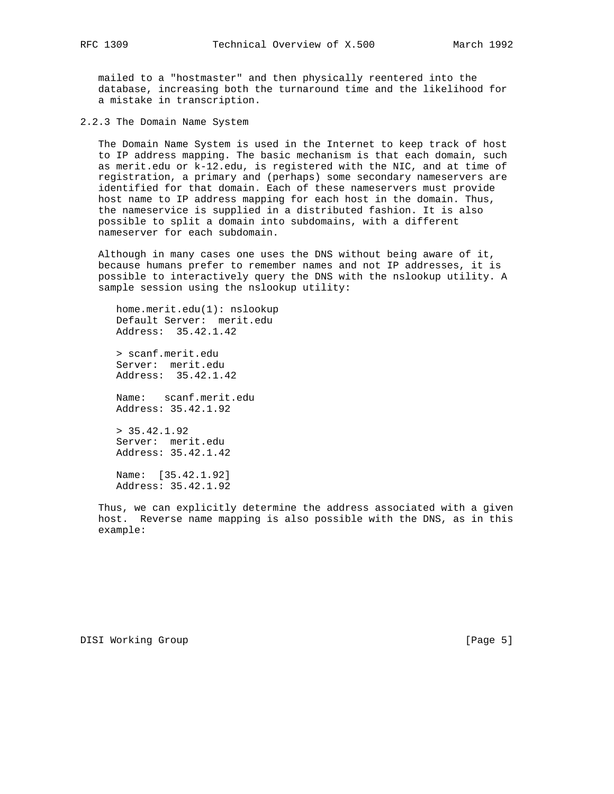mailed to a "hostmaster" and then physically reentered into the database, increasing both the turnaround time and the likelihood for a mistake in transcription.

2.2.3 The Domain Name System

 The Domain Name System is used in the Internet to keep track of host to IP address mapping. The basic mechanism is that each domain, such as merit.edu or k-12.edu, is registered with the NIC, and at time of registration, a primary and (perhaps) some secondary nameservers are identified for that domain. Each of these nameservers must provide host name to IP address mapping for each host in the domain. Thus, the nameservice is supplied in a distributed fashion. It is also possible to split a domain into subdomains, with a different nameserver for each subdomain.

 Although in many cases one uses the DNS without being aware of it, because humans prefer to remember names and not IP addresses, it is possible to interactively query the DNS with the nslookup utility. A sample session using the nslookup utility:

 home.merit.edu(1): nslookup Default Server: merit.edu Address: 35.42.1.42 > scanf.merit.edu Server: merit.edu Address: 35.42.1.42 Name: scanf.merit.edu Address: 35.42.1.92 > 35.42.1.92

 Server: merit.edu Address: 35.42.1.42

 Name: [35.42.1.92] Address: 35.42.1.92

 Thus, we can explicitly determine the address associated with a given host. Reverse name mapping is also possible with the DNS, as in this example: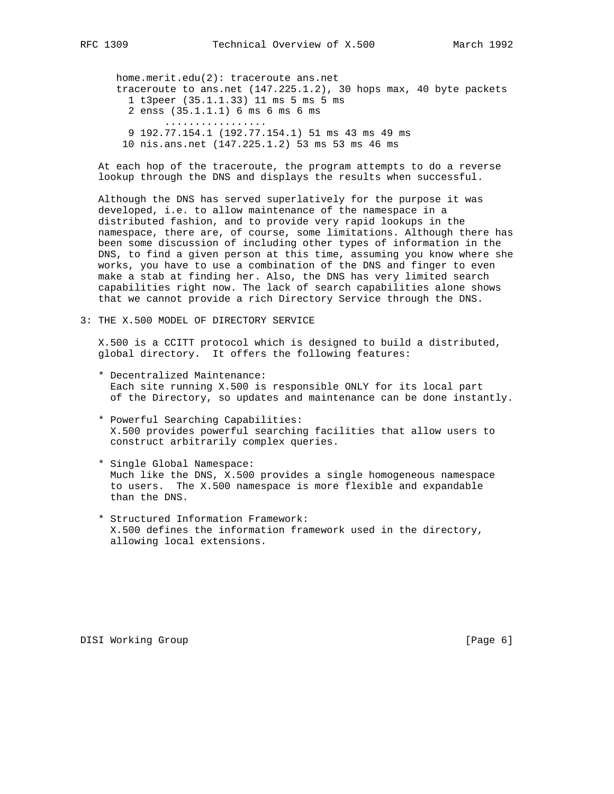home.merit.edu(2): traceroute ans.net traceroute to ans.net (147.225.1.2), 30 hops max, 40 byte packets 1 t3peer (35.1.1.33) 11 ms 5 ms 5 ms 2 enss (35.1.1.1) 6 ms 6 ms 6 ms ................. 9 192.77.154.1 (192.77.154.1) 51 ms 43 ms 49 ms 10 nis.ans.net (147.225.1.2) 53 ms 53 ms 46 ms

 At each hop of the traceroute, the program attempts to do a reverse lookup through the DNS and displays the results when successful.

 Although the DNS has served superlatively for the purpose it was developed, i.e. to allow maintenance of the namespace in a distributed fashion, and to provide very rapid lookups in the namespace, there are, of course, some limitations. Although there has been some discussion of including other types of information in the DNS, to find a given person at this time, assuming you know where she works, you have to use a combination of the DNS and finger to even make a stab at finding her. Also, the DNS has very limited search capabilities right now. The lack of search capabilities alone shows that we cannot provide a rich Directory Service through the DNS.

3: THE X.500 MODEL OF DIRECTORY SERVICE

 X.500 is a CCITT protocol which is designed to build a distributed, global directory. It offers the following features:

- \* Decentralized Maintenance: Each site running X.500 is responsible ONLY for its local part of the Directory, so updates and maintenance can be done instantly.
- \* Powerful Searching Capabilities: X.500 provides powerful searching facilities that allow users to construct arbitrarily complex queries.
- \* Single Global Namespace: Much like the DNS, X.500 provides a single homogeneous namespace to users. The X.500 namespace is more flexible and expandable than the DNS.
- \* Structured Information Framework: X.500 defines the information framework used in the directory, allowing local extensions.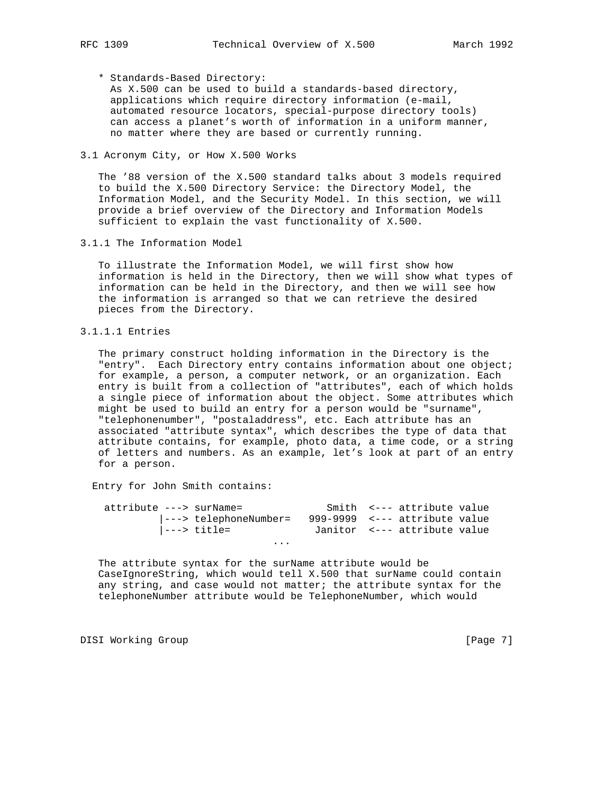\* Standards-Based Directory:

 As X.500 can be used to build a standards-based directory, applications which require directory information (e-mail, automated resource locators, special-purpose directory tools) can access a planet's worth of information in a uniform manner, no matter where they are based or currently running.

## 3.1 Acronym City, or How X.500 Works

 The '88 version of the X.500 standard talks about 3 models required to build the X.500 Directory Service: the Directory Model, the Information Model, and the Security Model. In this section, we will provide a brief overview of the Directory and Information Models sufficient to explain the vast functionality of X.500.

3.1.1 The Information Model

 To illustrate the Information Model, we will first show how information is held in the Directory, then we will show what types of information can be held in the Directory, and then we will see how the information is arranged so that we can retrieve the desired pieces from the Directory.

## 3.1.1.1 Entries

 The primary construct holding information in the Directory is the "entry". Each Directory entry contains information about one object; for example, a person, a computer network, or an organization. Each entry is built from a collection of "attributes", each of which holds a single piece of information about the object. Some attributes which might be used to build an entry for a person would be "surname", "telephonenumber", "postaladdress", etc. Each attribute has an associated "attribute syntax", which describes the type of data that attribute contains, for example, photo data, a time code, or a string of letters and numbers. As an example, let's look at part of an entry for a person.

Entry for John Smith contains:

| attribute ---> surName= |                               |                               |  | Smith <--- attribute value   |  |  |
|-------------------------|-------------------------------|-------------------------------|--|------------------------------|--|--|
|                         | $\vert$ ---> telephoneNumber= | 999-9999 <--- attribute value |  |                              |  |  |
|                         | ---> title=                   |                               |  | Janitor <--- attribute value |  |  |
| $\cdots$                |                               |                               |  |                              |  |  |

 The attribute syntax for the surName attribute would be CaseIgnoreString, which would tell X.500 that surName could contain any string, and case would not matter; the attribute syntax for the telephoneNumber attribute would be TelephoneNumber, which would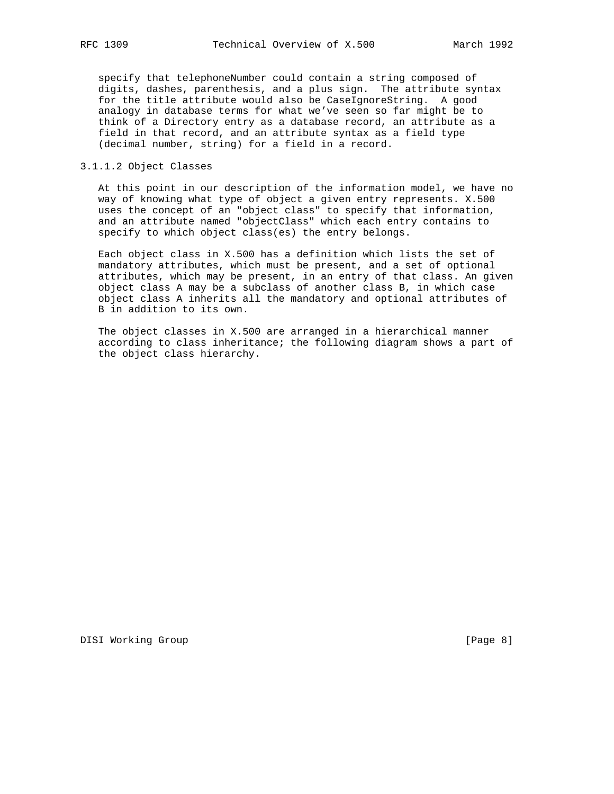specify that telephoneNumber could contain a string composed of digits, dashes, parenthesis, and a plus sign. The attribute syntax for the title attribute would also be CaseIgnoreString. A good analogy in database terms for what we've seen so far might be to think of a Directory entry as a database record, an attribute as a field in that record, and an attribute syntax as a field type (decimal number, string) for a field in a record.

## 3.1.1.2 Object Classes

 At this point in our description of the information model, we have no way of knowing what type of object a given entry represents. X.500 uses the concept of an "object class" to specify that information, and an attribute named "objectClass" which each entry contains to specify to which object class(es) the entry belongs.

 Each object class in X.500 has a definition which lists the set of mandatory attributes, which must be present, and a set of optional attributes, which may be present, in an entry of that class. An given object class A may be a subclass of another class B, in which case object class A inherits all the mandatory and optional attributes of B in addition to its own.

 The object classes in X.500 are arranged in a hierarchical manner according to class inheritance; the following diagram shows a part of the object class hierarchy.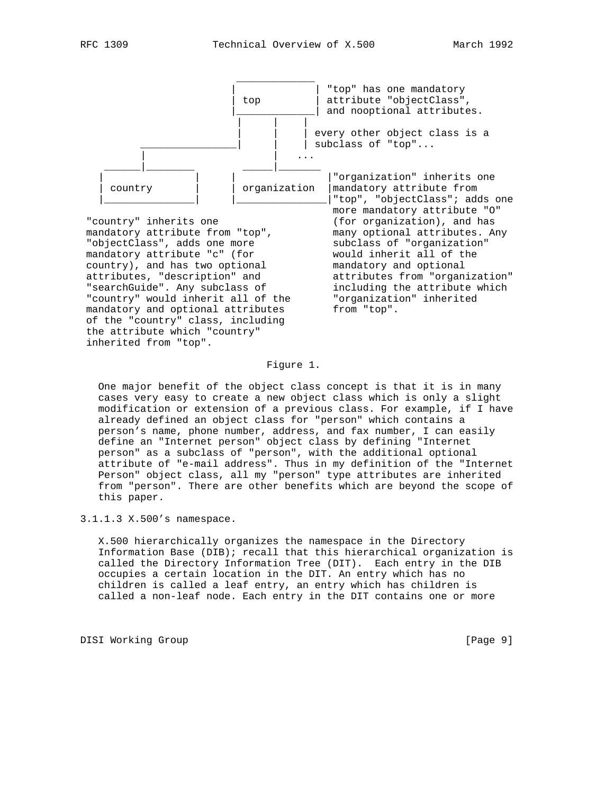

 "objectClass", adds one more subclass of "organization" mandatory attribute "c" (for would inherit all of the country), and has two optional mandatory and optional attributes, "description" and attributes from "organization" "searchGuide". Any subclass of including the attribute which "country" would inherit all of the "organization" inherited mandatory and optional attributes from "top". of the "country" class, including the attribute which "country" inherited from "top".

"top", "objectClass"; adds one

### Figure 1.

 One major benefit of the object class concept is that it is in many cases very easy to create a new object class which is only a slight modification or extension of a previous class. For example, if I have already defined an object class for "person" which contains a person's name, phone number, address, and fax number, I can easily define an "Internet person" object class by defining "Internet person" as a subclass of "person", with the additional optional attribute of "e-mail address". Thus in my definition of the "Internet Person" object class, all my "person" type attributes are inherited from "person". There are other benefits which are beyond the scope of this paper.

3.1.1.3 X.500's namespace.

 X.500 hierarchically organizes the namespace in the Directory Information Base (DIB); recall that this hierarchical organization is called the Directory Information Tree (DIT). Each entry in the DIB occupies a certain location in the DIT. An entry which has no children is called a leaf entry, an entry which has children is called a non-leaf node. Each entry in the DIT contains one or more

DISI Working Group **blue compared to the Compact Compared Compared Compared Compared Compared Compared Compared Compared Compared Compared Compared Compared Compared Compared Compared Compared Compared Compared Compared Co**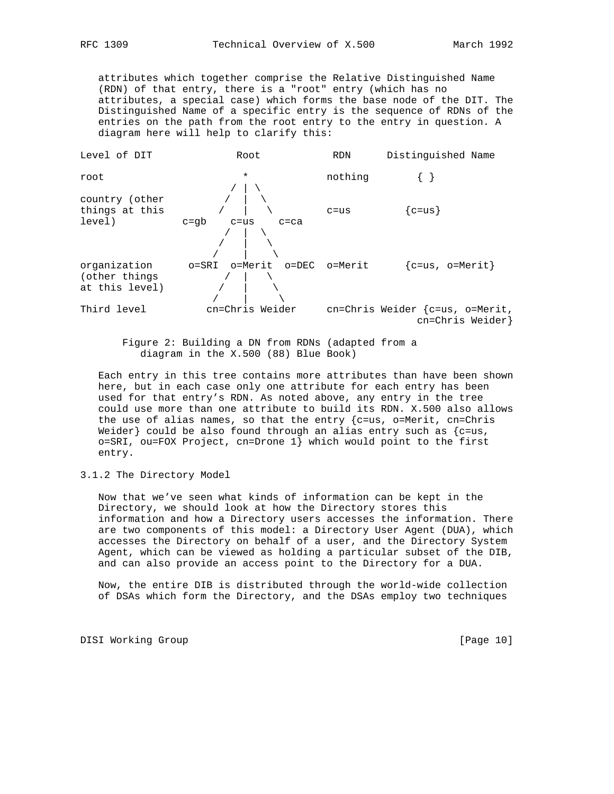attributes which together comprise the Relative Distinguished Name (RDN) of that entry, there is a "root" entry (which has no attributes, a special case) which forms the base node of the DIT. The Distinguished Name of a specific entry is the sequence of RDNs of the entries on the path from the root entry to the entry in question. A diagram here will help to clarify this:



 Figure 2: Building a DN from RDNs (adapted from a diagram in the X.500 (88) Blue Book)

 Each entry in this tree contains more attributes than have been shown here, but in each case only one attribute for each entry has been used for that entry's RDN. As noted above, any entry in the tree could use more than one attribute to build its RDN. X.500 also allows the use of alias names, so that the entry  ${c=us, o=Merit, cn=Chris}$ Weider} could be also found through an alias entry such as  ${c=us}$ , o=SRI, ou=FOX Project, cn=Drone 1} which would point to the first entry.

3.1.2 The Directory Model

 Now that we've seen what kinds of information can be kept in the Directory, we should look at how the Directory stores this information and how a Directory users accesses the information. There are two components of this model: a Directory User Agent (DUA), which accesses the Directory on behalf of a user, and the Directory System Agent, which can be viewed as holding a particular subset of the DIB, and can also provide an access point to the Directory for a DUA.

 Now, the entire DIB is distributed through the world-wide collection of DSAs which form the Directory, and the DSAs employ two techniques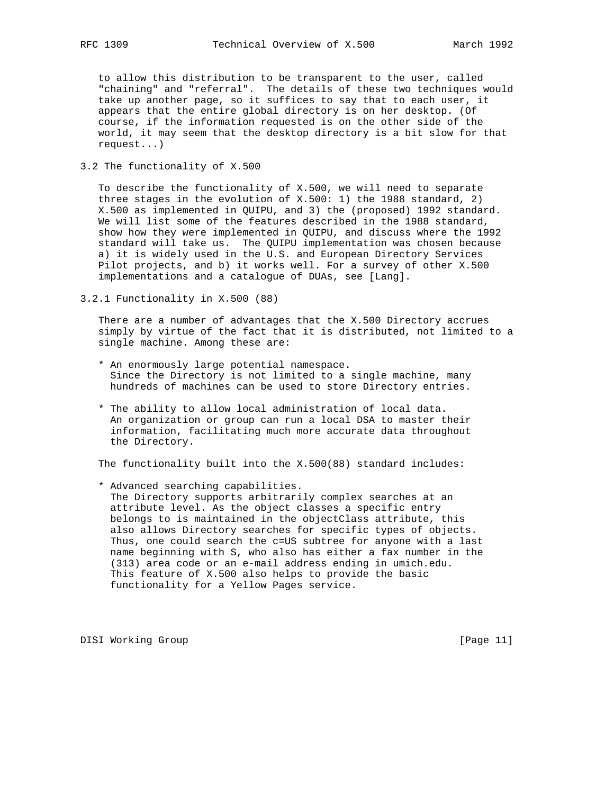to allow this distribution to be transparent to the user, called "chaining" and "referral". The details of these two techniques would take up another page, so it suffices to say that to each user, it appears that the entire global directory is on her desktop. (Of course, if the information requested is on the other side of the world, it may seem that the desktop directory is a bit slow for that request...)

3.2 The functionality of X.500

 To describe the functionality of X.500, we will need to separate three stages in the evolution of X.500: 1) the 1988 standard, 2) X.500 as implemented in QUIPU, and 3) the (proposed) 1992 standard. We will list some of the features described in the 1988 standard, show how they were implemented in QUIPU, and discuss where the 1992 standard will take us. The QUIPU implementation was chosen because a) it is widely used in the U.S. and European Directory Services Pilot projects, and b) it works well. For a survey of other X.500 implementations and a catalogue of DUAs, see [Lang].

3.2.1 Functionality in X.500 (88)

 There are a number of advantages that the X.500 Directory accrues simply by virtue of the fact that it is distributed, not limited to a single machine. Among these are:

- \* An enormously large potential namespace. Since the Directory is not limited to a single machine, many hundreds of machines can be used to store Directory entries.
- \* The ability to allow local administration of local data. An organization or group can run a local DSA to master their information, facilitating much more accurate data throughout the Directory.

The functionality built into the X.500(88) standard includes:

 \* Advanced searching capabilities. The Directory supports arbitrarily complex searches at an attribute level. As the object classes a specific entry belongs to is maintained in the objectClass attribute, this also allows Directory searches for specific types of objects. Thus, one could search the c=US subtree for anyone with a last name beginning with S, who also has either a fax number in the (313) area code or an e-mail address ending in umich.edu. This feature of X.500 also helps to provide the basic functionality for a Yellow Pages service.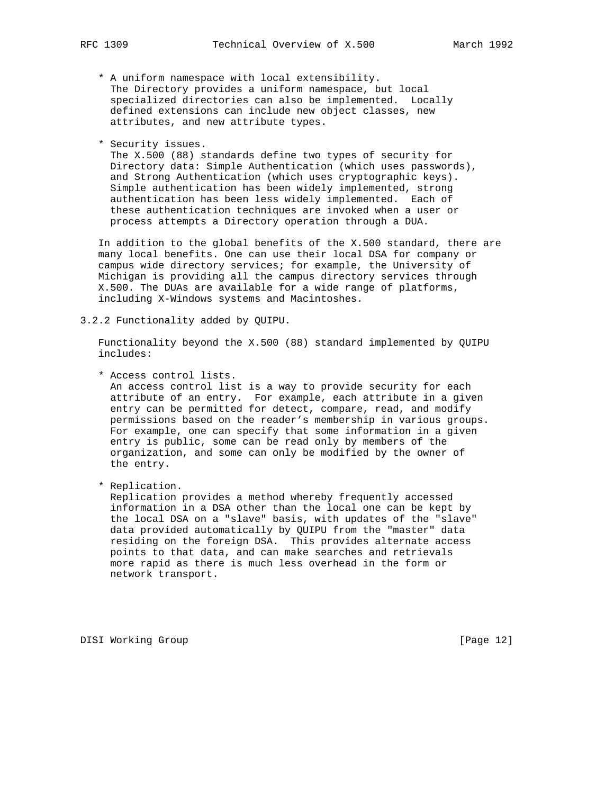- \* A uniform namespace with local extensibility. The Directory provides a uniform namespace, but local specialized directories can also be implemented. Locally defined extensions can include new object classes, new attributes, and new attribute types.
- \* Security issues.

 The X.500 (88) standards define two types of security for Directory data: Simple Authentication (which uses passwords), and Strong Authentication (which uses cryptographic keys). Simple authentication has been widely implemented, strong authentication has been less widely implemented. Each of these authentication techniques are invoked when a user or process attempts a Directory operation through a DUA.

 In addition to the global benefits of the X.500 standard, there are many local benefits. One can use their local DSA for company or campus wide directory services; for example, the University of Michigan is providing all the campus directory services through X.500. The DUAs are available for a wide range of platforms, including X-Windows systems and Macintoshes.

3.2.2 Functionality added by QUIPU.

 Functionality beyond the X.500 (88) standard implemented by QUIPU includes:

\* Access control lists.

 An access control list is a way to provide security for each attribute of an entry. For example, each attribute in a given entry can be permitted for detect, compare, read, and modify permissions based on the reader's membership in various groups. For example, one can specify that some information in a given entry is public, some can be read only by members of the organization, and some can only be modified by the owner of the entry.

\* Replication.

 Replication provides a method whereby frequently accessed information in a DSA other than the local one can be kept by the local DSA on a "slave" basis, with updates of the "slave" data provided automatically by QUIPU from the "master" data residing on the foreign DSA. This provides alternate access points to that data, and can make searches and retrievals more rapid as there is much less overhead in the form or network transport.

DISI Working Group **blue** compared to the control of the control of the control of the control of the control of the control of the control of the control of the control of the control of the control of the control of the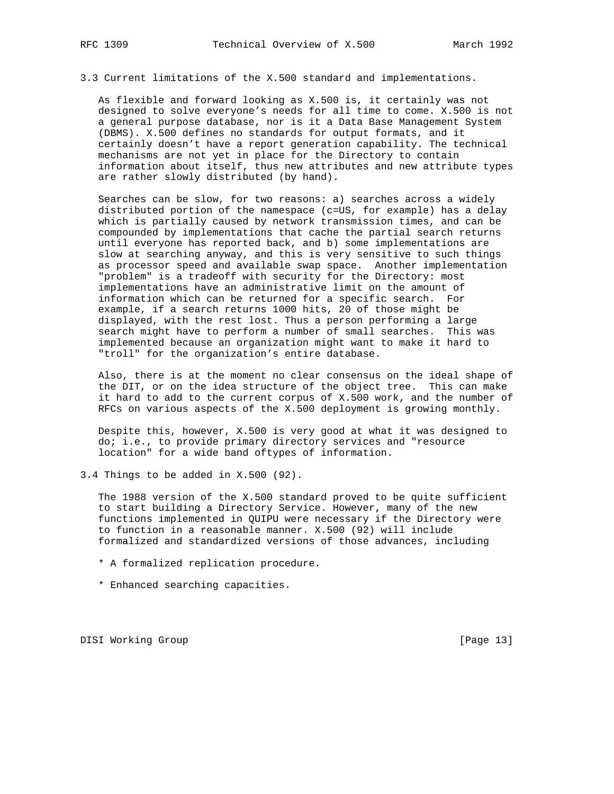3.3 Current limitations of the X.500 standard and implementations.

 As flexible and forward looking as X.500 is, it certainly was not designed to solve everyone's needs for all time to come. X.500 is not a general purpose database, nor is it a Data Base Management System (DBMS). X.500 defines no standards for output formats, and it certainly doesn't have a report generation capability. The technical mechanisms are not yet in place for the Directory to contain information about itself, thus new attributes and new attribute types are rather slowly distributed (by hand).

 Searches can be slow, for two reasons: a) searches across a widely distributed portion of the namespace (c=US, for example) has a delay which is partially caused by network transmission times, and can be compounded by implementations that cache the partial search returns until everyone has reported back, and b) some implementations are slow at searching anyway, and this is very sensitive to such things as processor speed and available swap space. Another implementation "problem" is a tradeoff with security for the Directory: most implementations have an administrative limit on the amount of information which can be returned for a specific search. For example, if a search returns 1000 hits, 20 of those might be displayed, with the rest lost. Thus a person performing a large search might have to perform a number of small searches. This was implemented because an organization might want to make it hard to "troll" for the organization's entire database.

 Also, there is at the moment no clear consensus on the ideal shape of the DIT, or on the idea structure of the object tree. This can make it hard to add to the current corpus of X.500 work, and the number of RFCs on various aspects of the X.500 deployment is growing monthly.

 Despite this, however, X.500 is very good at what it was designed to do; i.e., to provide primary directory services and "resource location" for a wide band oftypes of information.

3.4 Things to be added in X.500 (92).

 The 1988 version of the X.500 standard proved to be quite sufficient to start building a Directory Service. However, many of the new functions implemented in QUIPU were necessary if the Directory were to function in a reasonable manner. X.500 (92) will include formalized and standardized versions of those advances, including

- \* A formalized replication procedure.
- \* Enhanced searching capacities.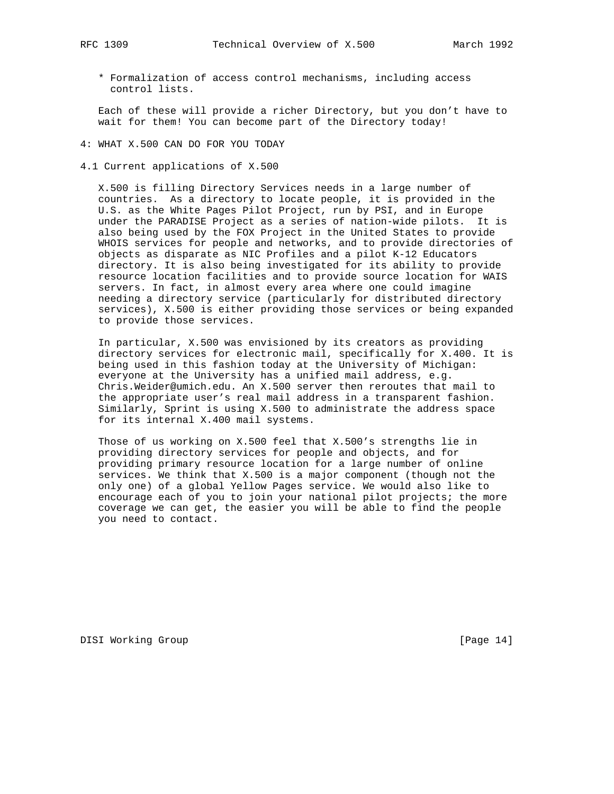\* Formalization of access control mechanisms, including access control lists.

 Each of these will provide a richer Directory, but you don't have to wait for them! You can become part of the Directory today!

4: WHAT X.500 CAN DO FOR YOU TODAY

4.1 Current applications of X.500

 X.500 is filling Directory Services needs in a large number of countries. As a directory to locate people, it is provided in the U.S. as the White Pages Pilot Project, run by PSI, and in Europe under the PARADISE Project as a series of nation-wide pilots. It is also being used by the FOX Project in the United States to provide WHOIS services for people and networks, and to provide directories of objects as disparate as NIC Profiles and a pilot K-12 Educators directory. It is also being investigated for its ability to provide resource location facilities and to provide source location for WAIS servers. In fact, in almost every area where one could imagine needing a directory service (particularly for distributed directory services), X.500 is either providing those services or being expanded to provide those services.

 In particular, X.500 was envisioned by its creators as providing directory services for electronic mail, specifically for X.400. It is being used in this fashion today at the University of Michigan: everyone at the University has a unified mail address, e.g. Chris.Weider@umich.edu. An X.500 server then reroutes that mail to the appropriate user's real mail address in a transparent fashion. Similarly, Sprint is using X.500 to administrate the address space for its internal X.400 mail systems.

 Those of us working on X.500 feel that X.500's strengths lie in providing directory services for people and objects, and for providing primary resource location for a large number of online services. We think that X.500 is a major component (though not the only one) of a global Yellow Pages service. We would also like to encourage each of you to join your national pilot projects; the more coverage we can get, the easier you will be able to find the people you need to contact.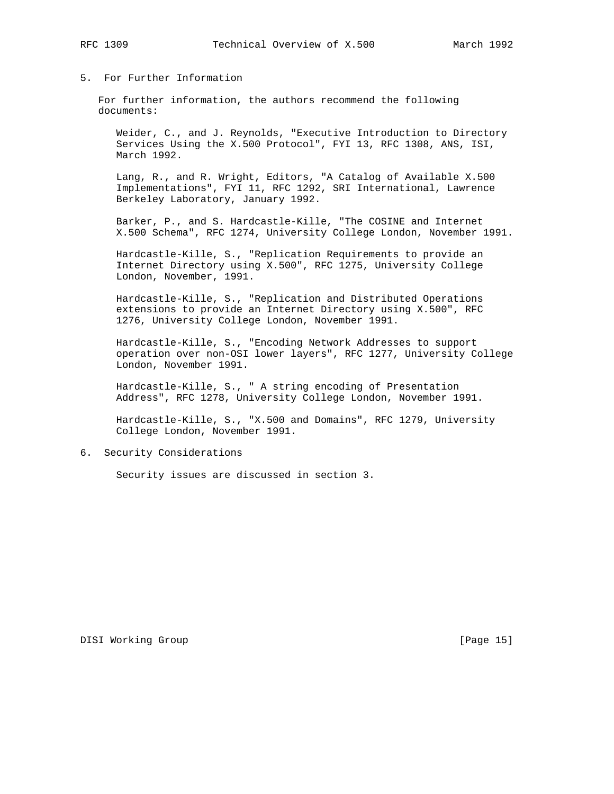## 5. For Further Information

 For further information, the authors recommend the following documents:

 Weider, C., and J. Reynolds, "Executive Introduction to Directory Services Using the X.500 Protocol", FYI 13, RFC 1308, ANS, ISI, March 1992.

 Lang, R., and R. Wright, Editors, "A Catalog of Available X.500 Implementations", FYI 11, RFC 1292, SRI International, Lawrence Berkeley Laboratory, January 1992.

 Barker, P., and S. Hardcastle-Kille, "The COSINE and Internet X.500 Schema", RFC 1274, University College London, November 1991.

 Hardcastle-Kille, S., "Replication Requirements to provide an Internet Directory using X.500", RFC 1275, University College London, November, 1991.

 Hardcastle-Kille, S., "Replication and Distributed Operations extensions to provide an Internet Directory using X.500", RFC 1276, University College London, November 1991.

 Hardcastle-Kille, S., "Encoding Network Addresses to support operation over non-OSI lower layers", RFC 1277, University College London, November 1991.

 Hardcastle-Kille, S., " A string encoding of Presentation Address", RFC 1278, University College London, November 1991.

 Hardcastle-Kille, S., "X.500 and Domains", RFC 1279, University College London, November 1991.

## 6. Security Considerations

Security issues are discussed in section 3.